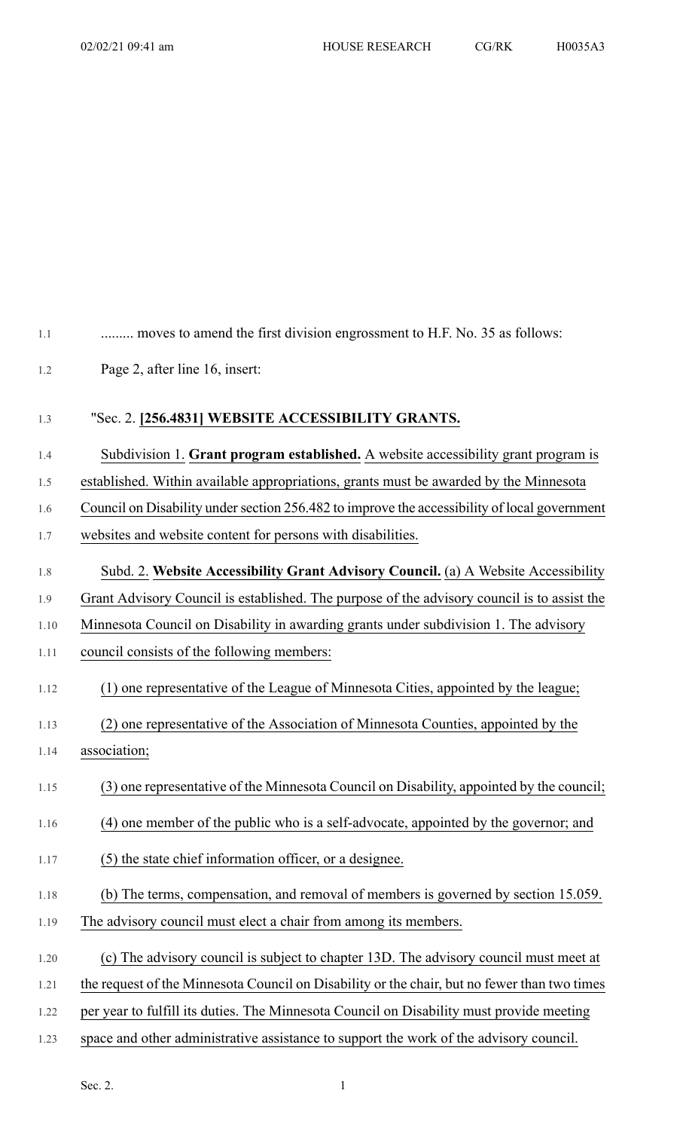1.1 .......... moves to amend the first division engrossment to H.F. No. 35 as follows:

1.2 Page 2, after line 16, insert:

## 1.3 "Sec. 2. **[256.4831] WEBSITE ACCESSIBILITY GRANTS.**

- 1.4 Subdivision 1. **Grant program established.** A website accessibility grant program is
- 1.5 established. Within available appropriations, grants must be awarded by the Minnesota
- 1.6 Council on Disability under section 256.482 to improve the accessibility of local government
- 1.7 websites and website content for persons with disabilities.
- 1.8 Subd. 2. **Website Accessibility Grant Advisory Council.** (a) A Website Accessibility
- 1.9 Grant Advisory Council is established. The purpose of the advisory council is to assist the
- 1.10 Minnesota Council on Disability in awarding grants under subdivision 1. The advisory
- 1.11 council consists of the following members:
- 1.12 (1) one representative of the League of Minnesota Cities, appointed by the league;
- 1.13 (2) one representative of the Association of Minnesota Counties, appointed by the
- 1.14 association;
- 1.15 (3) one representative of the Minnesota Council on Disability, appointed by the council;
- 1.16 (4) one member of the public who is a self-advocate, appointed by the governor; and
- 1.17 (5) the state chief information officer, or a designee.
- 1.18 (b) The terms, compensation, and removal of members is governed by section 15.059.
- 1.19 The advisory council must elect a chair from among its members.
- 1.20 (c) The advisory council is subject to chapter 13D. The advisory council must meet at
- 1.21 the request of the Minnesota Council on Disability or the chair, but no fewer than two times
- 1.22 per year to fulfill its duties. The Minnesota Council on Disability must provide meeting
- 1.23 space and other administrative assistance to support the work of the advisory council.